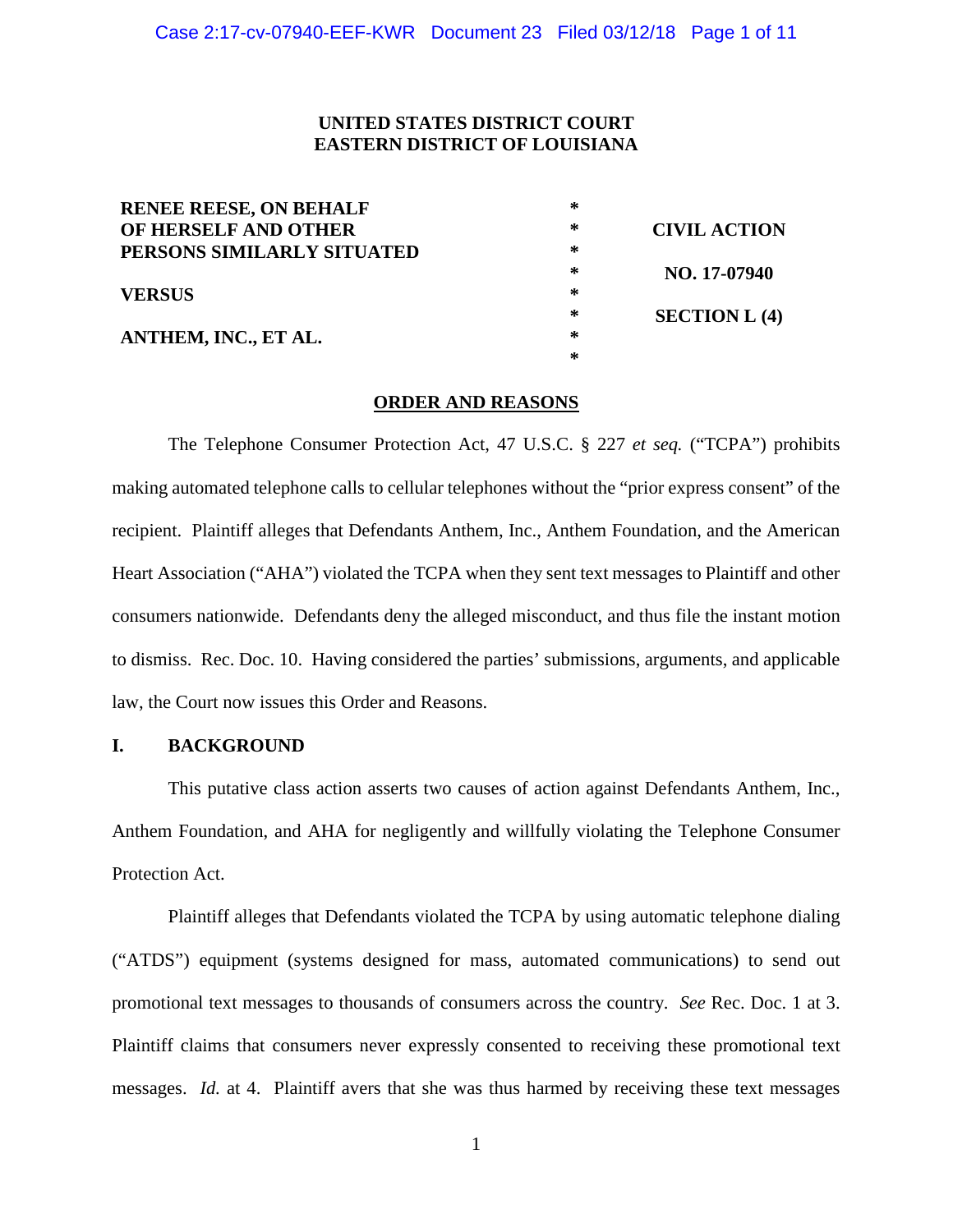### **UNITED STATES DISTRICT COURT EASTERN DISTRICT OF LOUISIANA**

| <b>RENEE REESE, ON BEHALF</b> | ∗ |                     |
|-------------------------------|---|---------------------|
| OF HERSELF AND OTHER          | ∗ | <b>CIVIL ACTION</b> |
| PERSONS SIMILARLY SITUATED    | ∗ |                     |
|                               | ∗ | NO. 17-07940        |
| <b>VERSUS</b>                 | ∗ |                     |
|                               | ∗ | SECTION L(4)        |
| ANTHEM, INC., ET AL.          | ∗ |                     |
|                               | ∗ |                     |
|                               |   |                     |

#### **ORDER AND REASONS**

The Telephone Consumer Protection Act, 47 U.S.C. § 227 *et seq.* ("TCPA") prohibits making automated telephone calls to cellular telephones without the "prior express consent" of the recipient. Plaintiff alleges that Defendants Anthem, Inc., Anthem Foundation, and the American Heart Association ("AHA") violated the TCPA when they sent text messages to Plaintiff and other consumers nationwide. Defendants deny the alleged misconduct, and thus file the instant motion to dismiss. Rec. Doc. 10. Having considered the parties' submissions, arguments, and applicable law, the Court now issues this Order and Reasons.

## **I. BACKGROUND**

This putative class action asserts two causes of action against Defendants Anthem, Inc., Anthem Foundation, and AHA for negligently and willfully violating the Telephone Consumer Protection Act.

Plaintiff alleges that Defendants violated the TCPA by using automatic telephone dialing ("ATDS") equipment (systems designed for mass, automated communications) to send out promotional text messages to thousands of consumers across the country. *See* Rec. Doc. 1 at 3. Plaintiff claims that consumers never expressly consented to receiving these promotional text messages. *Id.* at 4. Plaintiff avers that she was thus harmed by receiving these text messages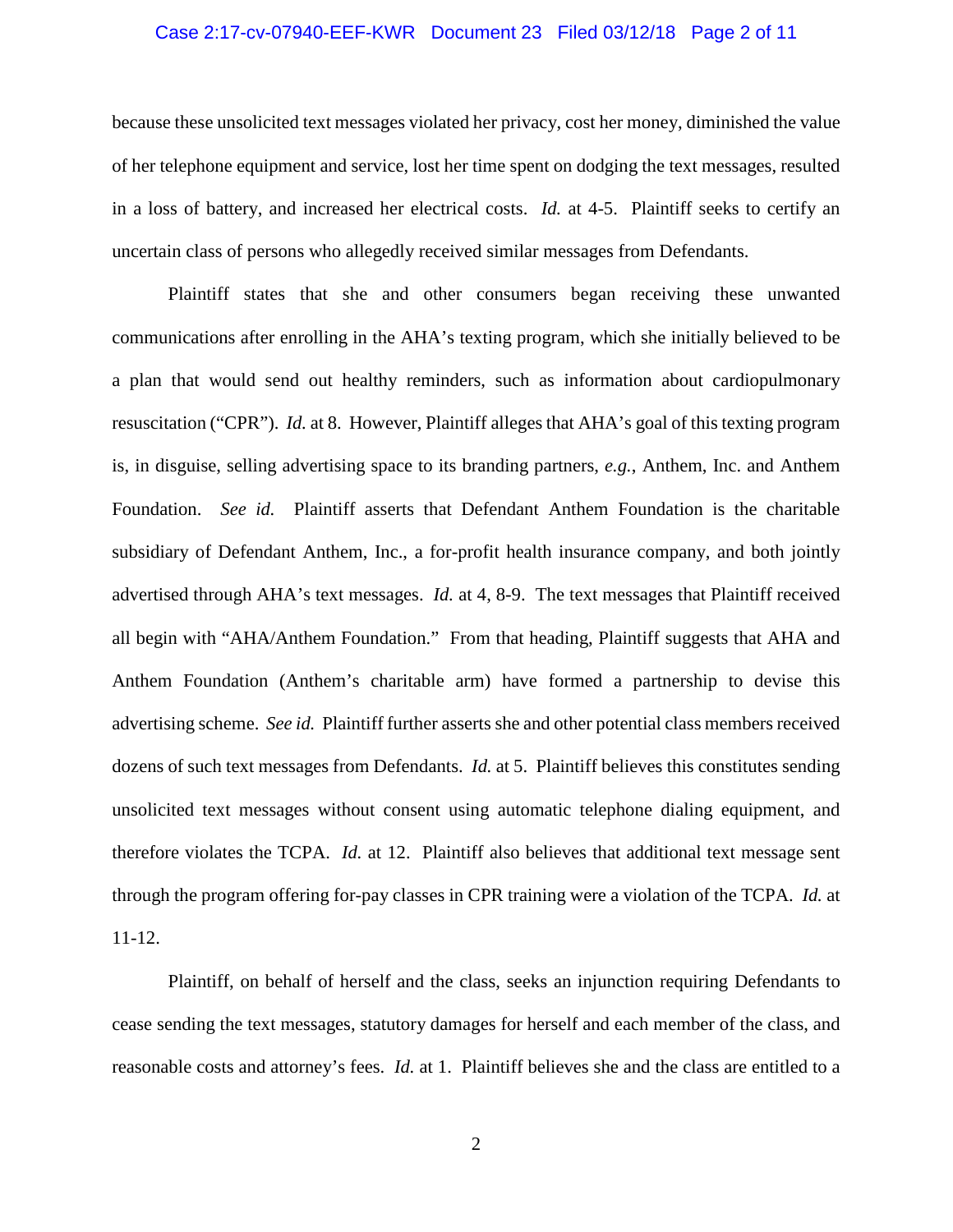#### Case 2:17-cv-07940-EEF-KWR Document 23 Filed 03/12/18 Page 2 of 11

because these unsolicited text messages violated her privacy, cost her money, diminished the value of her telephone equipment and service, lost her time spent on dodging the text messages, resulted in a loss of battery, and increased her electrical costs. *Id.* at 4-5. Plaintiff seeks to certify an uncertain class of persons who allegedly received similar messages from Defendants.

Plaintiff states that she and other consumers began receiving these unwanted communications after enrolling in the AHA's texting program, which she initially believed to be a plan that would send out healthy reminders, such as information about cardiopulmonary resuscitation ("CPR"). *Id.* at 8. However, Plaintiff alleges that AHA's goal of this texting program is, in disguise, selling advertising space to its branding partners, *e.g.*, Anthem, Inc. and Anthem Foundation. *See id.* Plaintiff asserts that Defendant Anthem Foundation is the charitable subsidiary of Defendant Anthem, Inc., a for-profit health insurance company, and both jointly advertised through AHA's text messages. *Id.* at 4, 8-9. The text messages that Plaintiff received all begin with "AHA/Anthem Foundation." From that heading, Plaintiff suggests that AHA and Anthem Foundation (Anthem's charitable arm) have formed a partnership to devise this advertising scheme. *See id.* Plaintiff further asserts she and other potential class members received dozens of such text messages from Defendants. *Id.* at 5. Plaintiff believes this constitutes sending unsolicited text messages without consent using automatic telephone dialing equipment, and therefore violates the TCPA. *Id.* at 12. Plaintiff also believes that additional text message sent through the program offering for-pay classes in CPR training were a violation of the TCPA. *Id.* at 11-12.

Plaintiff, on behalf of herself and the class, seeks an injunction requiring Defendants to cease sending the text messages, statutory damages for herself and each member of the class, and reasonable costs and attorney's fees. *Id.* at 1. Plaintiff believes she and the class are entitled to a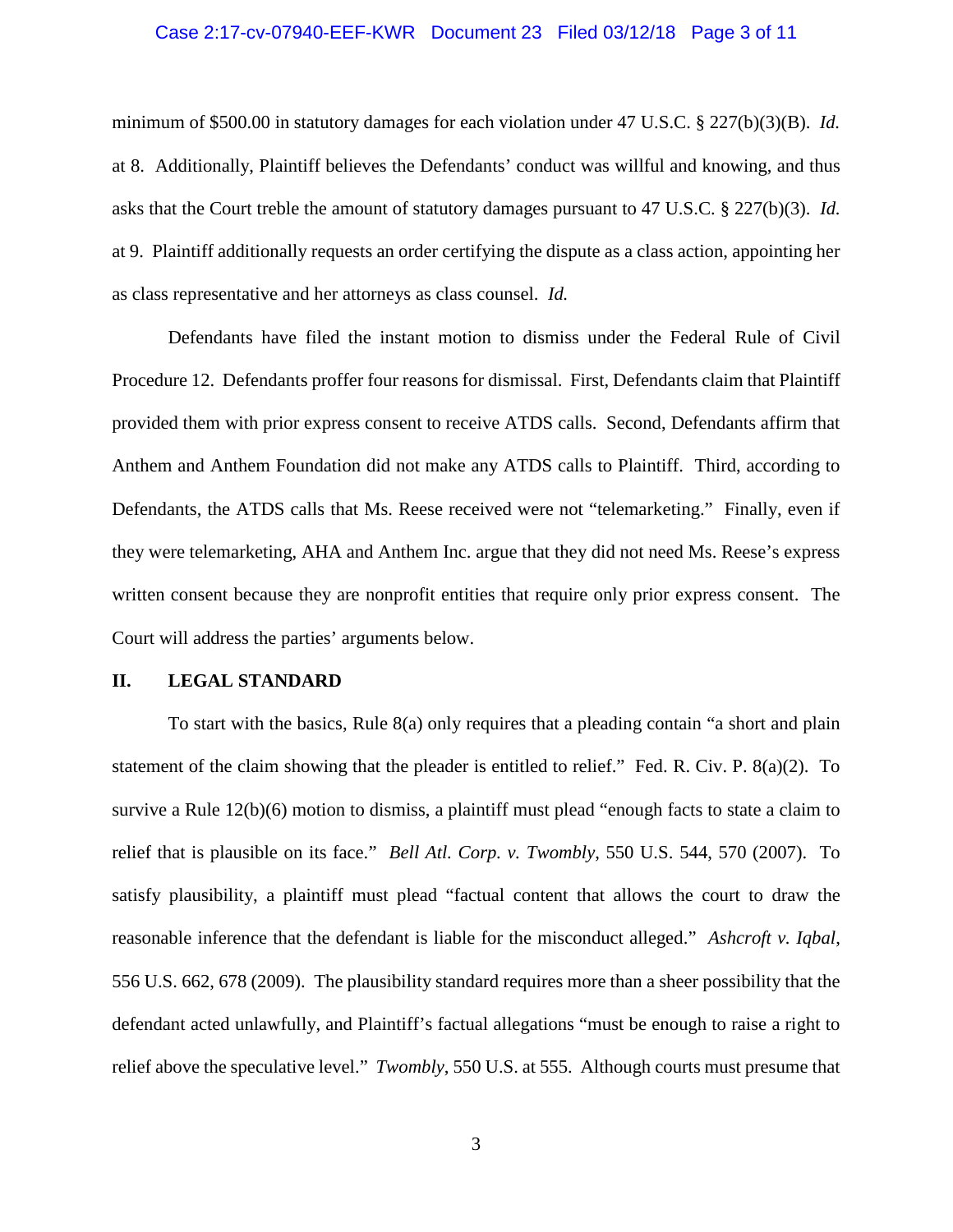#### Case 2:17-cv-07940-EEF-KWR Document 23 Filed 03/12/18 Page 3 of 11

minimum of \$500.00 in statutory damages for each violation under 47 U.S.C. § 227(b)(3)(B). *Id.* at 8. Additionally, Plaintiff believes the Defendants' conduct was willful and knowing, and thus asks that the Court treble the amount of statutory damages pursuant to 47 U.S.C. § 227(b)(3). *Id.* at 9. Plaintiff additionally requests an order certifying the dispute as a class action, appointing her as class representative and her attorneys as class counsel. *Id.* 

Defendants have filed the instant motion to dismiss under the Federal Rule of Civil Procedure 12. Defendants proffer four reasons for dismissal. First, Defendants claim that Plaintiff provided them with prior express consent to receive ATDS calls. Second, Defendants affirm that Anthem and Anthem Foundation did not make any ATDS calls to Plaintiff. Third, according to Defendants, the ATDS calls that Ms. Reese received were not "telemarketing." Finally, even if they were telemarketing, AHA and Anthem Inc. argue that they did not need Ms. Reese's express written consent because they are nonprofit entities that require only prior express consent. The Court will address the parties' arguments below.

#### **II. LEGAL STANDARD**

To start with the basics, Rule 8(a) only requires that a pleading contain "a short and plain statement of the claim showing that the pleader is entitled to relief." Fed. R. Civ. P. 8(a)(2). To survive a Rule 12(b)(6) motion to dismiss, a plaintiff must plead "enough facts to state a claim to relief that is plausible on its face." *Bell Atl. Corp. v. Twombly*, 550 U.S. 544, 570 (2007). To satisfy plausibility, a plaintiff must plead "factual content that allows the court to draw the reasonable inference that the defendant is liable for the misconduct alleged." *Ashcroft v. Iqbal*, 556 U.S. 662, 678 (2009). The plausibility standard requires more than a sheer possibility that the defendant acted unlawfully, and Plaintiff's factual allegations "must be enough to raise a right to relief above the speculative level." *Twombly*, 550 U.S. at 555. Although courts must presume that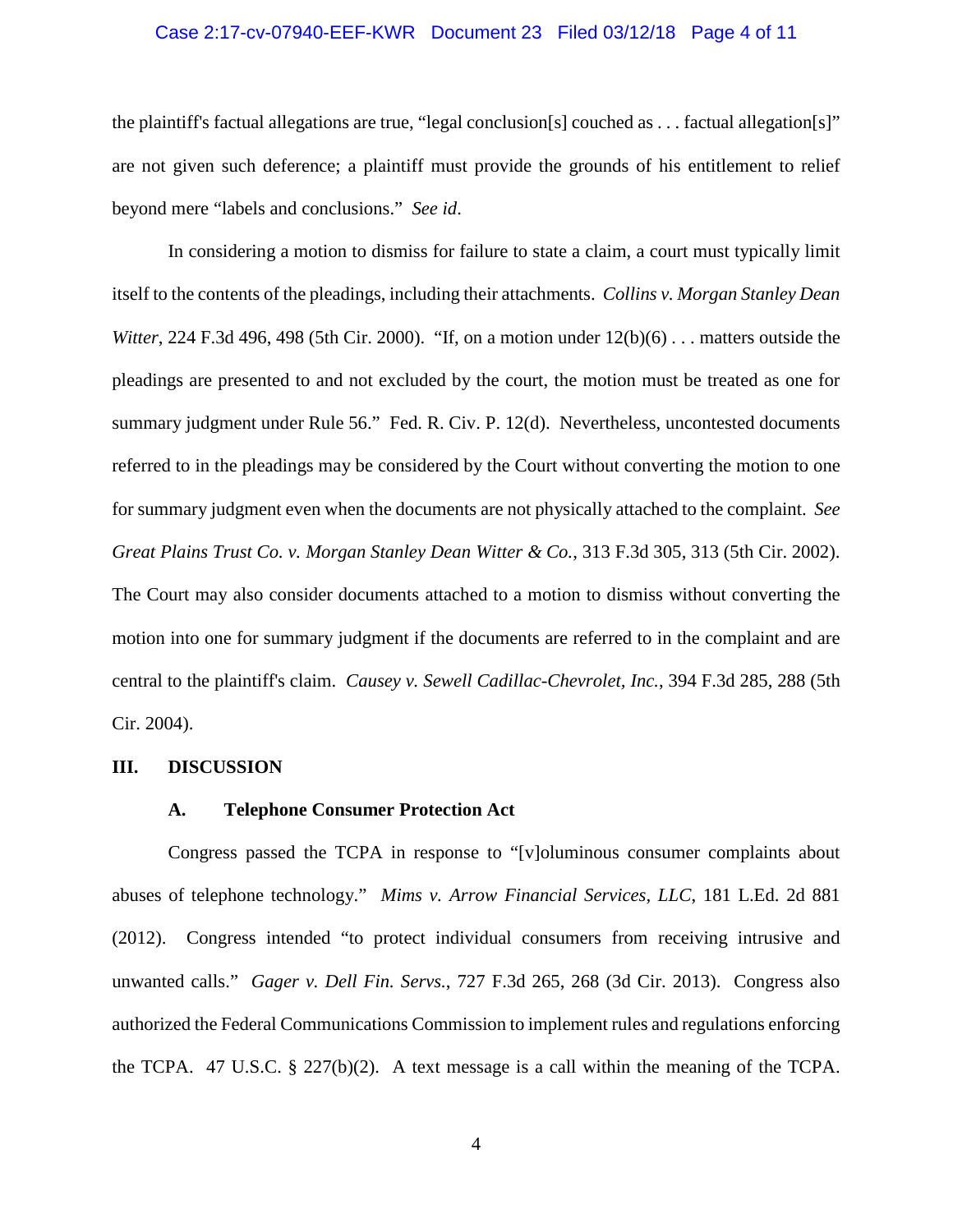#### Case 2:17-cv-07940-EEF-KWR Document 23 Filed 03/12/18 Page 4 of 11

the plaintiff's factual allegations are true, "legal conclusion[s] couched as . . . factual allegation[s]" are not given such deference; a plaintiff must provide the grounds of his entitlement to relief beyond mere "labels and conclusions." *See id*.

In considering a motion to dismiss for failure to state a claim, a court must typically limit itself to the contents of the pleadings, including their attachments. *Collins v. Morgan Stanley Dean Witter*, 224 F.3d 496, 498 (5th Cir. 2000). "If, on a motion under  $12(b)(6)$ ... matters outside the pleadings are presented to and not excluded by the court, the motion must be treated as one for summary judgment under Rule 56." Fed. R. Civ. P. 12(d). Nevertheless, uncontested documents referred to in the pleadings may be considered by the Court without converting the motion to one for summary judgment even when the documents are not physically attached to the complaint. *See Great Plains Trust Co. v. Morgan Stanley Dean Witter & Co.*, 313 F.3d 305, 313 (5th Cir. 2002). The Court may also consider documents attached to a motion to dismiss without converting the motion into one for summary judgment if the documents are referred to in the complaint and are central to the plaintiff's claim. *Causey v. Sewell Cadillac-Chevrolet, Inc.*, 394 F.3d 285, 288 (5th Cir. 2004).

#### **III. DISCUSSION**

#### **A. Telephone Consumer Protection Act**

Congress passed the TCPA in response to "[v]oluminous consumer complaints about abuses of telephone technology." *Mims v. Arrow Financial Services, LLC*, 181 L.Ed. 2d 881 (2012). Congress intended "to protect individual consumers from receiving intrusive and unwanted calls." *Gager v. Dell Fin. Servs.*, 727 F.3d 265, 268 (3d Cir. 2013). Congress also authorized the Federal Communications Commission to implement rules and regulations enforcing the TCPA. 47 U.S.C.  $\S$  227(b)(2). A text message is a call within the meaning of the TCPA.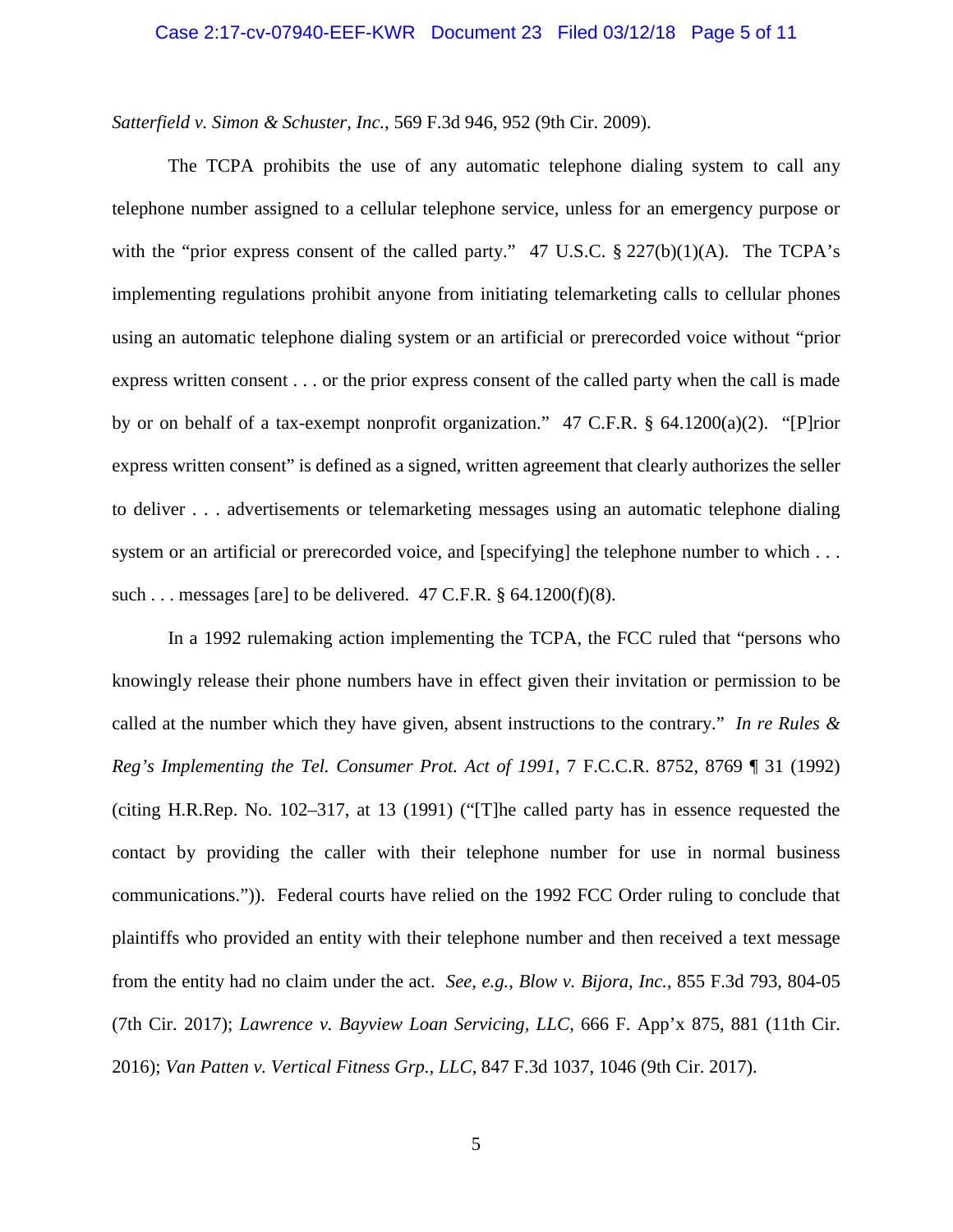#### Case 2:17-cv-07940-EEF-KWR Document 23 Filed 03/12/18 Page 5 of 11

*Satterfield v. Simon & Schuster, Inc.*, 569 F.3d 946, 952 (9th Cir. 2009).

The TCPA prohibits the use of any automatic telephone dialing system to call any telephone number assigned to a cellular telephone service, unless for an emergency purpose or with the "prior express consent of the called party." 47 U.S.C.  $\S 227(b)(1)(A)$ . The TCPA's implementing regulations prohibit anyone from initiating telemarketing calls to cellular phones using an automatic telephone dialing system or an artificial or prerecorded voice without "prior express written consent . . . or the prior express consent of the called party when the call is made by or on behalf of a tax-exempt nonprofit organization." 47 C.F.R. § 64.1200(a)(2). "[P]rior express written consent" is defined as a signed, written agreement that clearly authorizes the seller to deliver . . . advertisements or telemarketing messages using an automatic telephone dialing system or an artificial or prerecorded voice, and [specifying] the telephone number to which . . . such ... messages [are] to be delivered.  $47$  C.F.R.  $\S$  64.1200(f)(8).

In a 1992 rulemaking action implementing the TCPA, the FCC ruled that "persons who knowingly release their phone numbers have in effect given their invitation or permission to be called at the number which they have given, absent instructions to the contrary." *In re Rules & Reg's Implementing the Tel. Consumer Prot. Act of 1991*, 7 F.C.C.R. 8752, 8769 ¶ 31 (1992) (citing H.R.Rep. No. 102–317, at 13 (1991) ("[T]he called party has in essence requested the contact by providing the caller with their telephone number for use in normal business communications.")). Federal courts have relied on the 1992 FCC Order ruling to conclude that plaintiffs who provided an entity with their telephone number and then received a text message from the entity had no claim under the act. *See, e.g.*, *Blow v. Bijora, Inc.*, 855 F.3d 793, 804-05 (7th Cir. 2017); *Lawrence v. Bayview Loan Servicing, LLC*, 666 F. App'x 875, 881 (11th Cir. 2016); *Van Patten v. Vertical Fitness Grp., LLC*, 847 F.3d 1037, 1046 (9th Cir. 2017).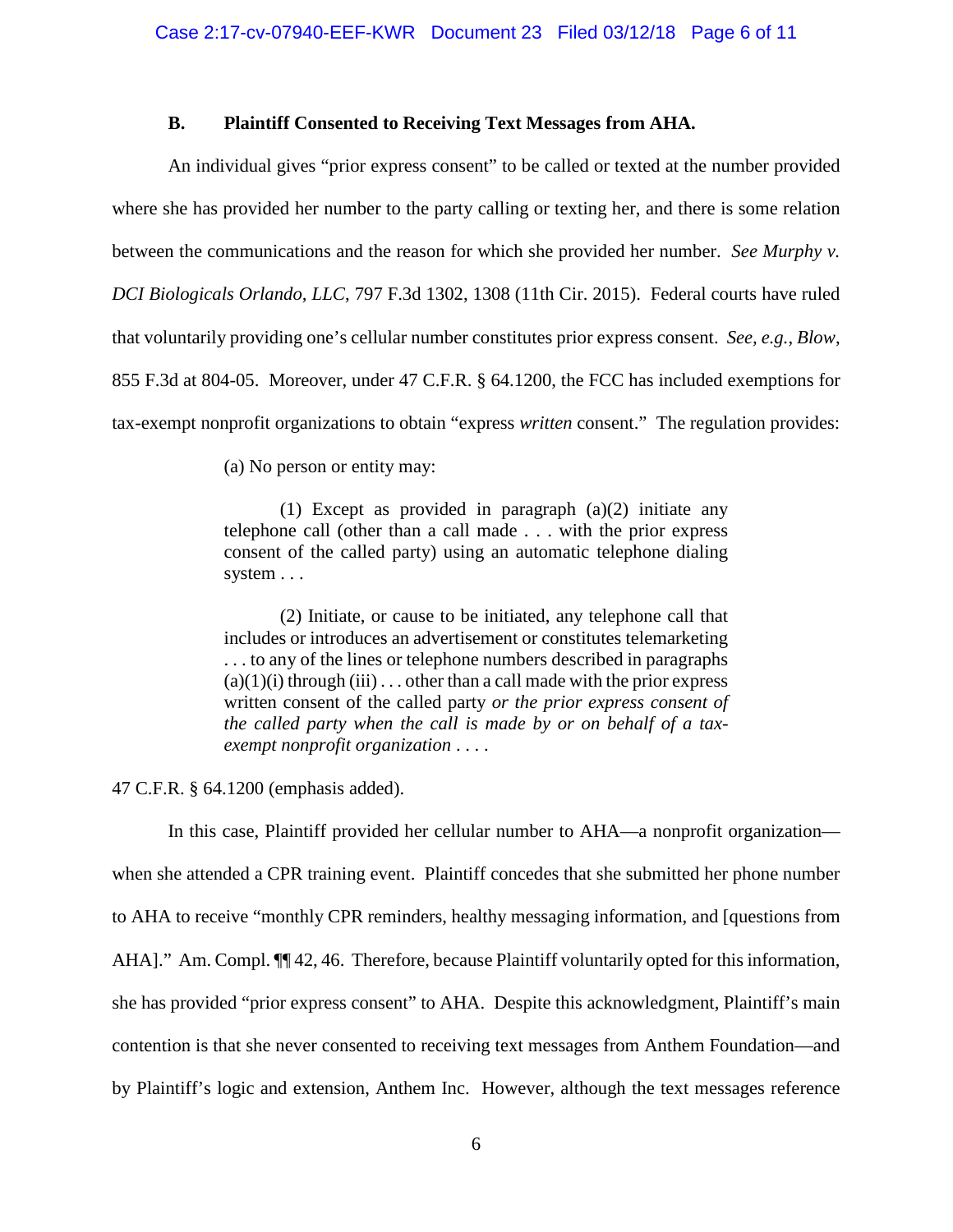#### **B. Plaintiff Consented to Receiving Text Messages from AHA.**

An individual gives "prior express consent" to be called or texted at the number provided where she has provided her number to the party calling or texting her, and there is some relation between the communications and the reason for which she provided her number. *See Murphy v. DCI Biologicals Orlando, LLC*, 797 F.3d 1302, 1308 (11th Cir. 2015). Federal courts have ruled that voluntarily providing one's cellular number constitutes prior express consent. *See, e.g.*, *Blow*, 855 F.3d at 804-05. Moreover, under 47 C.F.R. § 64.1200, the FCC has included exemptions for tax-exempt nonprofit organizations to obtain "express *written* consent." The regulation provides:

(a) No person or entity may:

(1) Except as provided in paragraph (a)(2) initiate any telephone call (other than a call made . . . with the prior express consent of the called party) using an automatic telephone dialing system . . .

(2) Initiate, or cause to be initiated, any telephone call that includes or introduces an advertisement or constitutes telemarketing . . . to any of the lines or telephone numbers described in paragraphs  $(a)(1)(i)$  through  $(iii)$ ... other than a call made with the prior express written consent of the called party *or the prior express consent of the called party when the call is made by or on behalf of a taxexempt nonprofit organization* . . . .

47 C.F.R. § 64.1200 (emphasis added).

In this case, Plaintiff provided her cellular number to AHA—a nonprofit organization when she attended a CPR training event. Plaintiff concedes that she submitted her phone number to AHA to receive "monthly CPR reminders, healthy messaging information, and [questions from AHA]." Am. Compl.  $\P$  42, 46. Therefore, because Plaintiff voluntarily opted for this information, she has provided "prior express consent" to AHA. Despite this acknowledgment, Plaintiff's main contention is that she never consented to receiving text messages from Anthem Foundation—and by Plaintiff's logic and extension, Anthem Inc. However, although the text messages reference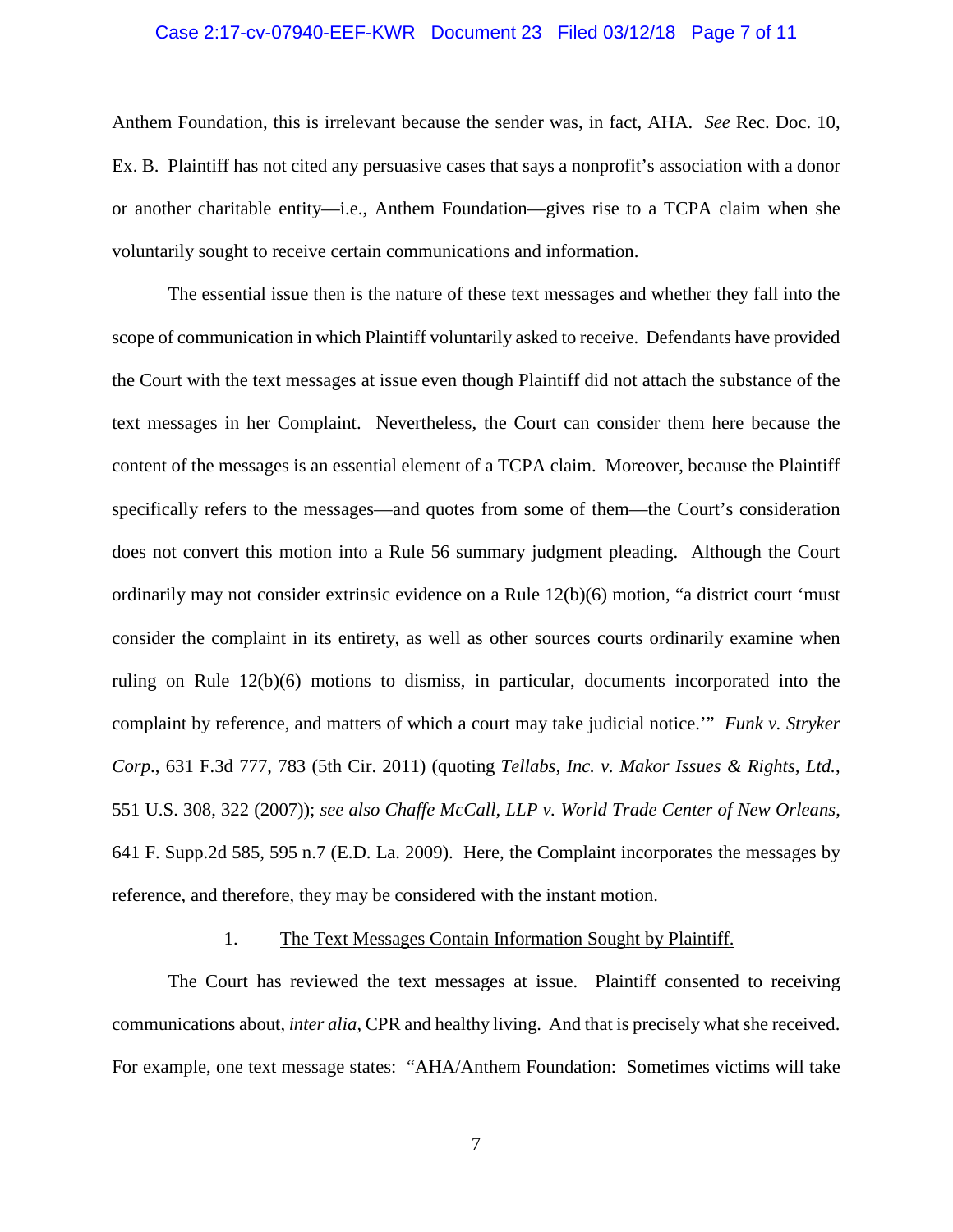#### Case 2:17-cv-07940-EEF-KWR Document 23 Filed 03/12/18 Page 7 of 11

Anthem Foundation, this is irrelevant because the sender was, in fact, AHA. *See* Rec. Doc. 10, Ex. B. Plaintiff has not cited any persuasive cases that says a nonprofit's association with a donor or another charitable entity—i.e., Anthem Foundation—gives rise to a TCPA claim when she voluntarily sought to receive certain communications and information.

The essential issue then is the nature of these text messages and whether they fall into the scope of communication in which Plaintiff voluntarily asked to receive. Defendants have provided the Court with the text messages at issue even though Plaintiff did not attach the substance of the text messages in her Complaint. Nevertheless, the Court can consider them here because the content of the messages is an essential element of a TCPA claim. Moreover, because the Plaintiff specifically refers to the messages—and quotes from some of them—the Court's consideration does not convert this motion into a Rule 56 summary judgment pleading. Although the Court ordinarily may not consider extrinsic evidence on a Rule 12(b)(6) motion, "a district court 'must consider the complaint in its entirety, as well as other sources courts ordinarily examine when ruling on Rule 12(b)(6) motions to dismiss, in particular, documents incorporated into the complaint by reference, and matters of which a court may take judicial notice.'" *Funk v. Stryker Corp*., 631 F.3d 777, 783 (5th Cir. 2011) (quoting *Tellabs, Inc. v. Makor Issues & Rights, Ltd.*, 551 U.S. 308, 322 (2007)); *see also Chaffe McCall, LLP v. World Trade Center of New Orleans*, 641 F. Supp.2d 585, 595 n.7 (E.D. La. 2009). Here, the Complaint incorporates the messages by reference, and therefore, they may be considered with the instant motion.

#### 1. The Text Messages Contain Information Sought by Plaintiff.

The Court has reviewed the text messages at issue. Plaintiff consented to receiving communications about, *inter alia*, CPR and healthy living. And that is precisely what she received. For example, one text message states: "AHA/Anthem Foundation: Sometimes victims will take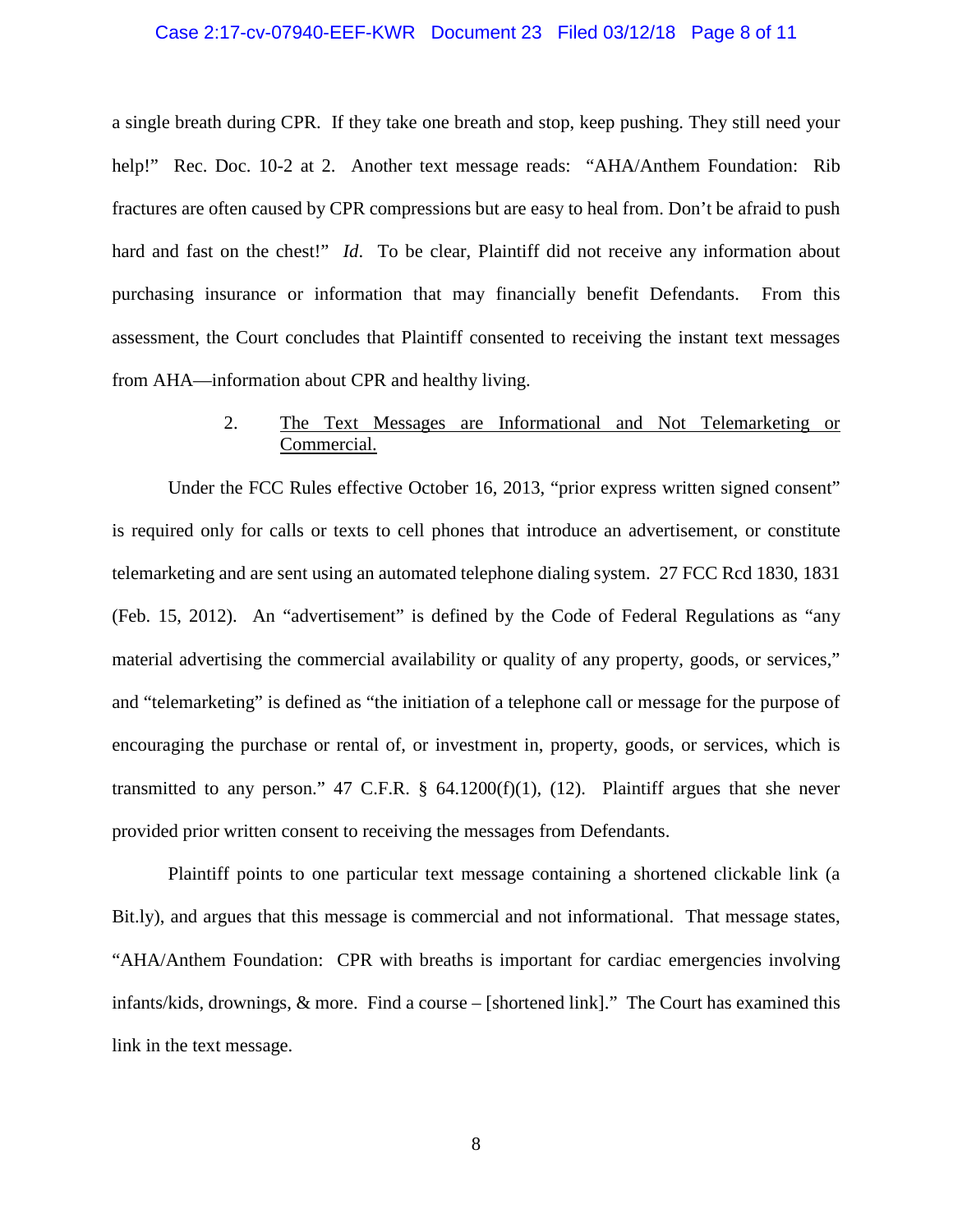#### Case 2:17-cv-07940-EEF-KWR Document 23 Filed 03/12/18 Page 8 of 11

a single breath during CPR. If they take one breath and stop, keep pushing. They still need your help!" Rec. Doc. 10-2 at 2. Another text message reads: "AHA/Anthem Foundation: Rib fractures are often caused by CPR compressions but are easy to heal from. Don't be afraid to push hard and fast on the chest!" *Id*. To be clear, Plaintiff did not receive any information about purchasing insurance or information that may financially benefit Defendants. From this assessment, the Court concludes that Plaintiff consented to receiving the instant text messages from AHA—information about CPR and healthy living.

## 2. The Text Messages are Informational and Not Telemarketing or Commercial.

Under the FCC Rules effective October 16, 2013, "prior express written signed consent" is required only for calls or texts to cell phones that introduce an advertisement, or constitute telemarketing and are sent using an automated telephone dialing system. 27 FCC Rcd 1830, 1831 (Feb. 15, 2012). An "advertisement" is defined by the Code of Federal Regulations as "any material advertising the commercial availability or quality of any property, goods, or services," and "telemarketing" is defined as "the initiation of a telephone call or message for the purpose of encouraging the purchase or rental of, or investment in, property, goods, or services, which is transmitted to any person." 47 C.F.R.  $\S$  64.1200(f)(1), (12). Plaintiff argues that she never provided prior written consent to receiving the messages from Defendants.

Plaintiff points to one particular text message containing a shortened clickable link (a Bit.ly), and argues that this message is commercial and not informational. That message states, "AHA/Anthem Foundation: CPR with breaths is important for cardiac emergencies involving infants/kids, drownings, & more. Find a course – [shortened link]." The Court has examined this link in the text message.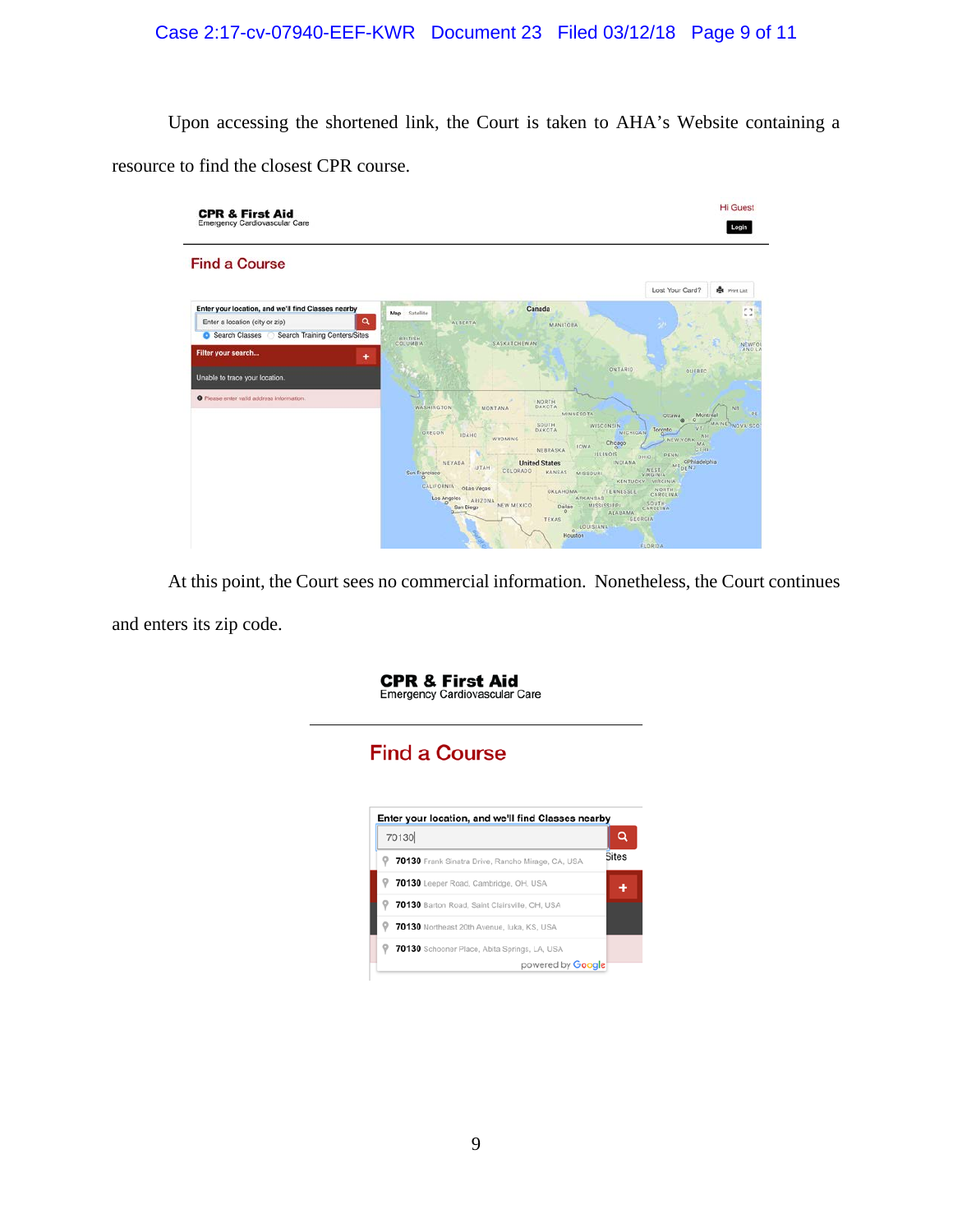# Case 2:17-cv-07940-EEF-KWR Document 23 Filed 03/12/18 Page 9 of 11

Upon accessing the shortened link, the Court is taken to AHA's Website containing a resource to find the closest CPR course.



At this point, the Court sees no commercial information. Nonetheless, the Court continues and enters its zip code.

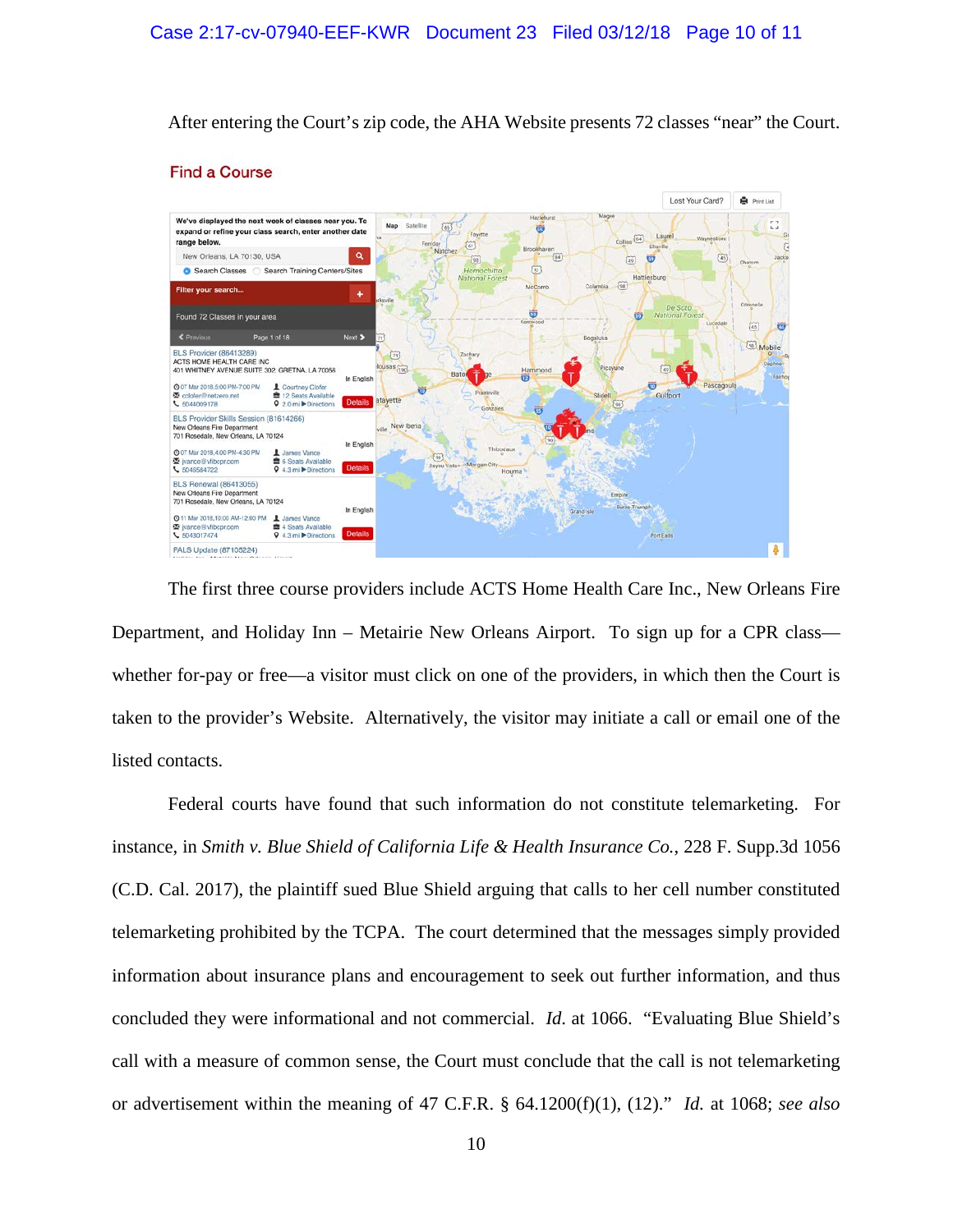After entering the Court's zip code, the AHA Website presents 72 classes "near" the Court.



#### **Find a Course**

The first three course providers include ACTS Home Health Care Inc., New Orleans Fire Department, and Holiday Inn – Metairie New Orleans Airport. To sign up for a CPR class whether for-pay or free—a visitor must click on one of the providers, in which then the Court is taken to the provider's Website. Alternatively, the visitor may initiate a call or email one of the listed contacts.

Federal courts have found that such information do not constitute telemarketing. For instance, in *Smith v. Blue Shield of California Life & Health Insurance Co.*, 228 F. Supp.3d 1056 (C.D. Cal. 2017), the plaintiff sued Blue Shield arguing that calls to her cell number constituted telemarketing prohibited by the TCPA. The court determined that the messages simply provided information about insurance plans and encouragement to seek out further information, and thus concluded they were informational and not commercial. *Id*. at 1066. "Evaluating Blue Shield's call with a measure of common sense, the Court must conclude that the call is not telemarketing or advertisement within the meaning of 47 C.F.R. § 64.1200(f)(1), (12)." *Id.* at 1068; *see also*